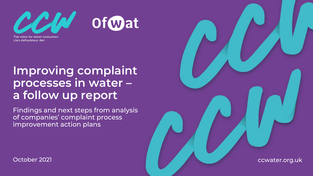

The voice for water consumers Llais defnyddwyr dŵr

## **Improving complaint processes in water – a follow up report**

Findings and next steps from analysis of companies' complaint process improvement action plans

October 2021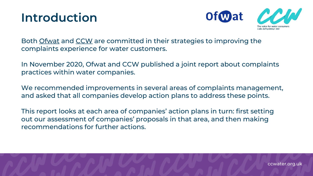## **Introduction**



Both [Ofwat](https://www.ofwat.gov.uk/about-us/our-strategy/) and [CCW](https://www.ccwater.org.uk/aboutus/our-strategy/) are committed in their strategies to improving the complaints experience for water customers.

In November 2020, Ofwat and CCW published a joint report about complaints practices within water companies.

We recommended improvements in several areas of complaints management, and asked that all companies develop action plans to address these points.

This report looks at each area of companies' action plans in turn: first setting out our assessment of companies' proposals in that area, and then making recommendations for further actions.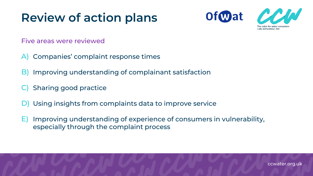## **Review of action plans**





Five areas were reviewed

- A) Companies' complaint response times
- B) Improving understanding of complainant satisfaction
- **Sharing good practice**
- D) Using insights from complaints data to improve service
- E) Improving understanding of experience of consumers in vulnerability, especially through the complaint process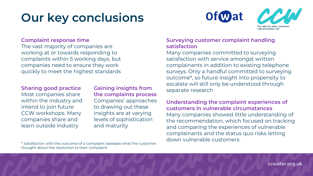## **Our key conclusions**



#### **Complaint response time**

The vast majority of companies are working at or towards responding to complaints within 5 working days, but companies need to ensure they work quickly to meet the highest standards

Most companies share within the industry and intend to join future CCW workshops. Many companies share and learn outside industry

**Sharing good practice Caining insights from the separate research the complaints process** Companies' approaches to drawing out these insights are at varying levels of sophistication and maturity

#### **Surveying customer complaint handling satisfaction**

Many companies committed to surveying satisfaction with service amongst written complainants in addition to existing telephone surveys. Only a handful committed to surveying outcome\*, so future insight into propensity to escalate will still only be understood through

#### **Understanding the complaint experiences of customers in vulnerable circumstances** Many companies showed little understanding of the recommendation, which focused on tracking and comparing the experiences of vulnerable complainants and the status quo risks letting down vulnerable customers

\* Satisfaction with the outcome of a complaint assesses what the customer thought about the resolution to their complaint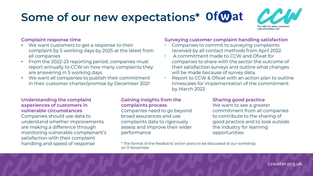# **Some of our new expectations\***



#### **Complaint response time**

- We want customers to get a response to their complaint by 5 working days by 2025 at the latest from all companies
- From the 2022-23 reporting period, companies must report annually to CCW on how many complaints they are answering in 5 working days
- We want all companies to publish their commitment in their customer charter/promise by December 2021

#### **Surveying customer complaint handling satisfaction**

- Companies to commit to surveying complaints received by all contact methods from April 2022.
- A commitment made to CCW and Ofwat for companies to share with the sector the outcome of their satisfaction surveys and outline what changes will be made because of survey data.
- Report to CCW & Ofwat with an action plan to outline timescales for implementation of the commitment by March 2022

**Understanding the complaint experiences of customers in vulnerable circumstances** Companies should use data to understand whether improvements are making a difference through monitoring vulnerable complainant's satisfaction with their complaint handling and speed of response

#### **Gaining insights from the complaints process**

Companies need to go beyond broad assurances and use complaints data to rigorously assess and improve their wider performance

#### **Sharing good practice**

We want to see a greater commitment from all companies to contribute to the sharing of good practice and to look outside the industry for learning opportunities

\* The format of the feedback/ action plans to be discussed at our workshop on 11 November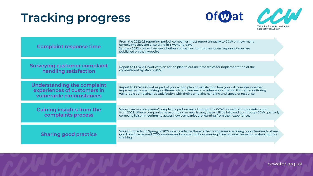## **Tracking progress**





 $\mathbf{K}$ 

| <b>Complaint response time</b>                                                         | From the 2022-23 reporting period, companies must report annually to CCW on how many<br>complaints they are answering in 5 working days<br>January 2022 - we will review whether companies' commitments on response times are<br>published on their website                                    |
|----------------------------------------------------------------------------------------|------------------------------------------------------------------------------------------------------------------------------------------------------------------------------------------------------------------------------------------------------------------------------------------------|
| <b>Surveying customer complaint</b><br>handling satisfaction                           | Report to CCW & Ofwat with an action plan to outline timescales for implementation of the<br>commitment by March 2022                                                                                                                                                                          |
| Understanding the complaint<br>experiences of customers in<br>vulnerable circumstances | Report to CCW & Ofwat as part of your action plan on satisfaction how you will consider whether<br>improvements are making a difference to consumers in a vulnerable situation through monitoring<br>vulnerable complainant's satisfaction with their complaint handling and speed of response |
| Gaining insights from the<br>complaints process                                        | We will review companies' complaints performance through the CCW household complaints report<br>from 2022. Where companies have ongoing or new issues, these will be followed up through CCW quarterly<br>company liaison meetings to assess how companies are learning from their experiences |
| <b>Sharing good practice</b>                                                           | We will consider in Spring of 2022 what evidence there is that companies are taking opportunities to share<br>good practice beyond CCW sessions and are sharing how learning from outside the sector is shaping their<br>thinking                                                              |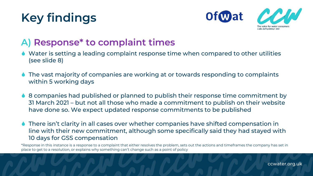## **Key findings**



#### **A) Response\* to complaint times**

- Water is setting a leading complaint response time when compared to other utilities (see slide 8)
- The vast majority of companies are working at or towards responding to complaints within 5 working days
- 8 companies had published or planned to publish their response time commitment by 31 March 2021 – but not all those who made a commitment to publish on their website have done so. We expect updated response commitments to be published
- There isn't clarity in all cases over whether companies have shifted compensation in line with their new commitment, although some specifically said they had stayed with 10 days for GSS compensation

\*Response in this instance is a response to a complaint that either resolves the problem, sets out the actions and timeframes the company has set in place to get to a resolution, or explains why something can't change such as a point of policy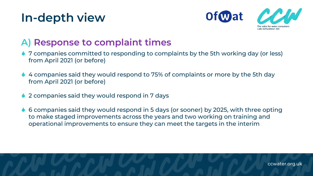## **In-depth view**



### **A) Response to complaint times**

- 7 companies committed to responding to complaints by the 5th working day (or less) from April 2021 (or before)
- ◆ 4 companies said they would respond to 75% of complaints or more by the 5th day from April 2021 (or before)
- 2 companies said they would respond in 7 days
- 6 companies said they would respond in 5 days (or sooner) by 2025, with three opting to make staged improvements across the years and two working on training and operational improvements to ensure they can meet the targets in the interim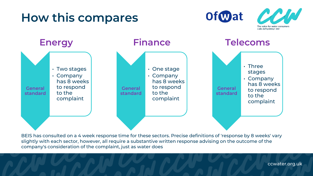## **How this compares**







BEIS has consulted on a 4 week response time for these sectors. Precise definitions of 'response by 8 weeks' vary slightly with each sector, however, all require a substantive written response advising on the outcome of the company's consideration of the complaint, just as water does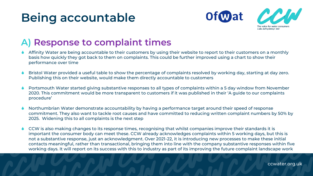## **Being accountable**





#### **A) Response to complaint times**

- Affinity Water are being accountable to their customers by using their website to report to their customers on a monthly basis how quickly they got back to them on complaints. This could be further improved using a chart to show their performance over time
- Bristol Water provided a useful table to show the percentage of complaints resolved by working day, starting at day zero. Publishing this on their website, would make them directly accountable to customers
- Portsmouth Water started giving substantive responses to all types of complaints within a 5 day window from November 2020. This commitment would be more transparent to customers if it was published in their 'A guide to our complaints procedure'
- Northumbrian Water demonstrate accountability by having a performance target around their speed of response commitment. They also want to tackle root causes and have committed to reducing written complaint numbers by 50% by 2025. Widening this to all complaints is the next step
- CCW is also making changes to its response times, recognising that whilst companies improve their standards it is important the consumer body can meet these. CCW already acknowledges complaints within 5 working days, but this is not a substantive response, just an acknowledgment. Over 2021-22, it is introducing new processes to make these initial contacts meaningful, rather than transactional, bringing them into line with the company substantive responses within five working days. It will report on its success with this to industry as part of its improving the future complaint landscape work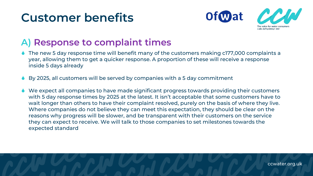## **Customer benefits**



#### **A) Response to complaint times**

- The new 5 day response time will benefit many of the customers making c177,000 complaints a year, allowing them to get a quicker response. A proportion of these will receive a response inside 5 days already
- By 2025, all customers will be served by companies with a 5 day commitment
- We expect all companies to have made significant progress towards providing their customers with 5 day response times by 2025 at the latest. It isn't acceptable that some customers have to wait longer than others to have their complaint resolved, purely on the basis of where they live. Where companies do not believe they can meet this expectation, they should be clear on the reasons why progress will be slower, and be transparent with their customers on the service they can expect to receive. We will talk to those companies to set milestones towards the expected standard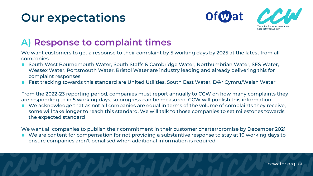

### **A) Response to complaint times**

We want customers to get a response to their complaint by 5 working days by 2025 at the latest from all companies

- ◆ South West Bournemouth Water, South Staffs & Cambridge Water, Northumbrian Water, SES Water, Wessex Water, Portsmouth Water, Bristol Water are industry leading and already delivering this for complaint responses
- Fast tracking towards this standard are United Utilities, South East Water, Dŵr Cymru/Welsh Water

From the 2022-23 reporting period, companies must report annually to CCW on how many complaints they are responding to in 5 working days, so progress can be measured. CCW will publish this information

 We acknowledge that as not all companies are equal in terms of the volume of complaints they receive, some will take longer to reach this standard. We will talk to those companies to set milestones towards the expected standard

We want all companies to publish their commitment in their customer charter/promise by December 2021

 We are content for compensation for not providing a substantive response to stay at 10 working days to ensure companies aren't penalised when additional information is required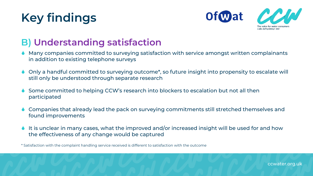## **Key findings**



#### **B) Understanding satisfaction**

- Many companies committed to surveying satisfaction with service amongst written complainants in addition to existing telephone surveys
- Only a handful committed to surveying outcome\*, so future insight into propensity to escalate will still only be understood through separate research
- Some committed to helping CCW's research into blockers to escalation but not all then participated
- Companies that already lead the pack on surveying commitments still stretched themselves and found improvements
- It is unclear in many cases, what the improved and/or increased insight will be used for and how the effectiveness of any change would be captured

\* Satisfaction with the complaint handling service received is different to satisfaction with the outcome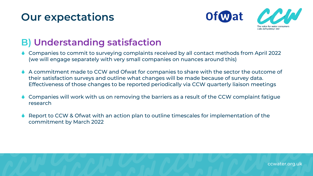

#### **B) Understanding satisfaction**

- Companies to commit to surveying complaints received by all contact methods from April 2022 (we will engage separately with very small companies on nuances around this)
- A commitment made to CCW and Ofwat for companies to share with the sector the outcome of their satisfaction surveys and outline what changes will be made because of survey data. Effectiveness of those changes to be reported periodically via CCW quarterly liaison meetings
- **Companies will work with us on removing the barriers as a result of the CCW complaint fatigue** research
- Report to CCW & Ofwat with an action plan to outline timescales for implementation of the commitment by March 2022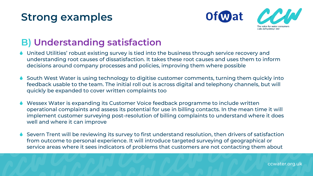## **Strong examples**



#### **B) Understanding satisfaction**

- United Utilities' robust existing survey is tied into the business through service recovery and understanding root causes of dissatisfaction. It takes these root causes and uses them to inform decisions around company processes and policies, improving them where possible
- South West Water is using technology to digitise customer comments, turning them quickly into feedback usable to the team. The initial roll out is across digital and telephony channels, but will quickly be expanded to cover written complaints too
- Wessex Water is expanding its Customer Voice feedback programme to include written operational complaints and assess its potential for use in billing contacts. In the mean time it will implement customer surveying post-resolution of billing complaints to understand where it does well and where it can improve
- Severn Trent will be reviewing its survey to first understand resolution, then drivers of satisfaction from outcome to personal experience. It will introduce targeted surveying of geographical or service areas where it sees indicators of problems that customers are not contacting them about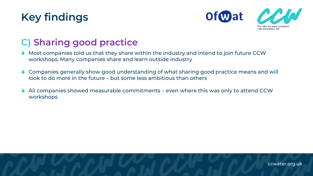



### **C) Sharing good practice**

- Most companies told us that they share within the industry and intend to join future CCW workshops. Many companies share and learn outside industry
- Companies generally show good understanding of what sharing good practice means and will look to do more in the future – but some less ambitious than others
- All companies showed measurable commitments even where this was only to attend CCW workshops

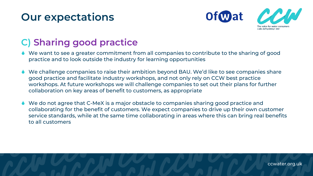

### **C) Sharing good practice**

- We want to see a greater commitment from all companies to contribute to the sharing of good practice and to look outside the industry for learning opportunities
- We challenge companies to raise their ambition beyond BAU. We'd like to see companies share good practice and facilitate industry workshops, and not only rely on CCW best practice workshops. At future workshops we will challenge companies to set out their plans for further collaboration on key areas of benefit to customers, as appropriate
- We do not agree that C-MeX is a major obstacle to companies sharing good practice and collaborating for the benefit of customers. We expect companies to drive up their own customer service standards, while at the same time collaborating in areas where this can bring real benefits to all customers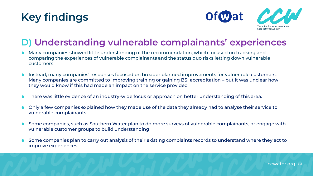



### **D) Understanding vulnerable complainants' experiences**

- Many companies showed little understanding of the recommendation, which focused on tracking and comparing the experiences of vulnerable complainants and the status quo risks letting down vulnerable customers
- Instead, many companies' responses focused on broader planned improvements for vulnerable customers. Many companies are committed to improving training or gaining BSI accreditation – but it was unclear how they would know if this had made an impact on the service provided
- There was little evidence of an industry-wide focus or approach on better understanding of this area.
- Only a few companies explained how they made use of the data they already had to analyse their service to vulnerable complainants
- Some companies, such as Southern Water plan to do more surveys of vulnerable complainants, or engage with vulnerable customer groups to build understanding
- Some companies plan to carry out analysis of their existing complaints records to understand where they act to improve experiences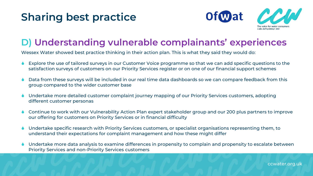## **Sharing best practice**



### **D) Understanding vulnerable complainants' experiences**

Wessex Water showed best practice thinking in their action plan. This is what they said they would do:

- Explore the use of tailored surveys in our Customer Voice programme so that we can add specific questions to the satisfaction surveys of customers on our Priority Services register or on one of our financial support schemes
- Data from these surveys will be included in our real time data dashboards so we can compare feedback from this group compared to the wider customer base
- Undertake more detailed customer complaint journey mapping of our Priority Services customers, adopting different customer personas
- Continue to work with our Vulnerability Action Plan expert stakeholder group and our 200 plus partners to improve our offering for customers on Priority Services or in financial difficulty
- Undertake specific research with Priority Services customers, or specialist organisations representing them, to understand their expectations for complaint management and how these might differ
- Undertake more data analysis to examine differences in propensity to complain and propensity to escalate between Priority Services and non-Priority Services customers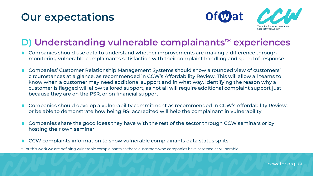

#### **D) Understanding vulnerable complainants'\* experiences**

- Companies should use data to understand whether improvements are making a difference through monitoring vulnerable complainant's satisfaction with their complaint handling and speed of response
- Companies' Customer Relationship Management Systems should show a rounded view of customers' circumstances at a glance, as recommended in CCW's Affordability Review. This will allow all teams to know when a customer may need additional support and in what way. Identifying the reason why a customer is flagged will allow tailored support, as not all will require additional complaint support just because they are on the PSR, or on financial support
- Companies should develop a vulnerability commitment as recommended in CCW's Affordability Review, or be able to demonstrate how being BSI accredited will help the complainant in vulnerability
- Companies share the good ideas they have with the rest of the sector through CCW seminars or by hosting their own seminar
- CCW complaints information to show vulnerable complainants data status splits

\* For this work we are defining vulnerable complainants as those customers who companies have assessed as vulnerable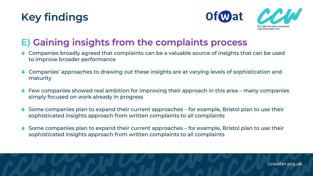



### **E) Gaining insights from the complaints process**

- ◆ Companies broadly agreed that complaints can be a valuable source of insights that can be used to improve broader performance
- Companies' approaches to drawing out these insights are at varying levels of sophistication and maturity
- Few companies showed real ambition for improving their approach in this area many companies simply focused on work already in progress
- Some companies plan to expand their current approaches for example, Bristol plan to use their sophisticated insights approach from written complaints to all complaints
- Some companies plan to expand their current approaches for example, Bristol plan to use their sophisticated insights approach from written complaints to all complaints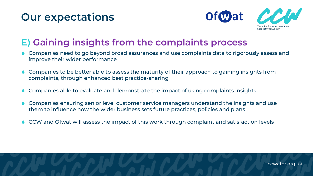

### **E) Gaining insights from the complaints process**

- Companies need to go beyond broad assurances and use complaints data to rigorously assess and improve their wider performance
- Companies to be better able to assess the maturity of their approach to gaining insights from complaints, through enhanced best practice-sharing
- Companies able to evaluate and demonstrate the impact of using complaints insights
- Companies ensuring senior level customer service managers understand the insights and use them to influence how the wider business sets future practices, policies and plans
- ♦ CCW and Ofwat will assess the impact of this work through complaint and satisfaction levels